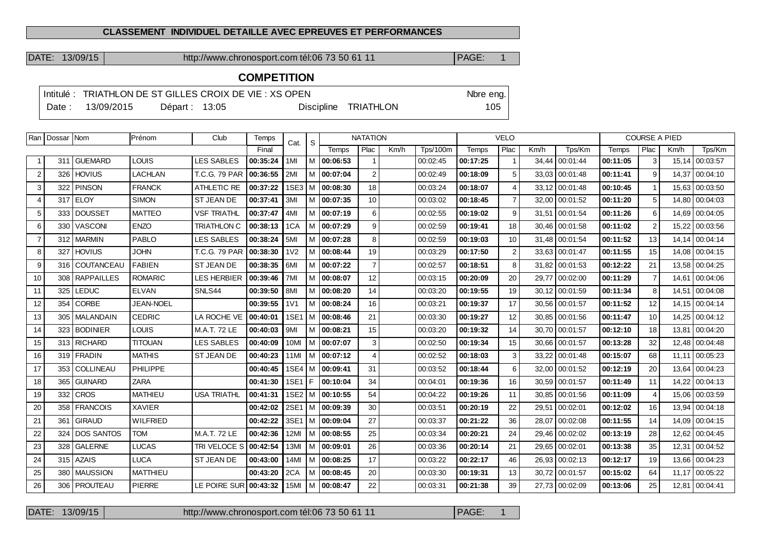### **CLASSEMENT INDIVIDUEL DETAILLE AVEC EPREUVES ET PERFORMANCES**

DATE: 13/09/15 http://www.chronosport.com tél:06 73 50 61 11 PAGE: 1

# **COMPETITION**

|        | Intitulé : TRIATHLON DE ST GILLES CROIX DE VIE : XS OPEN |               |  |  |                      |       |  |  |  |  |
|--------|----------------------------------------------------------|---------------|--|--|----------------------|-------|--|--|--|--|
| Date : | 13/09/2015                                               | Départ: 13:05 |  |  | Discipline TRIATHLON | $105$ |  |  |  |  |

|                | Ran   Dossar   Nom |                   | Prénom           | Club                 | Temps    | Cat.             | S |                     | <b>NATATION</b> |      | <b>VELO</b>     |          |                |       | <b>COURSE A PIED</b> |          |                 |       |          |
|----------------|--------------------|-------------------|------------------|----------------------|----------|------------------|---|---------------------|-----------------|------|-----------------|----------|----------------|-------|----------------------|----------|-----------------|-------|----------|
|                |                    |                   |                  |                      | Final    |                  |   | Temps               | Plac            | Km/h | <b>Tps/100m</b> | Temps    | Plac           | Km/h  | Tps/Km               | Temps    | Plac            | Km/h  | Tps/Km   |
| $\mathbf{1}$   |                    | 311 GUEMARD       | <b>LOUIS</b>     | <b>LES SABLES</b>    | 00:35:24 | 1MI              |   | M 00:06:53          |                 |      | 00:02:45        | 00:17:25 | $\mathbf{1}$   |       | 34,44 00:01:44       | 00:11:05 | 3               | 15,14 | 00:03:57 |
| $\overline{2}$ |                    | 326 HOVIUS        | <b>LACHLAN</b>   | <b>T.C.G. 79 PAR</b> | 00:36:55 | 2MI              |   | M 00:07:04          | $\overline{2}$  |      | 00:02:49        | 00:18:09 | 5              |       | 33.03 00:01:48       | 00:11:41 | 9               | 14.37 | 00:04:10 |
| 3              | 322                | PINSON            | <b>FRANCK</b>    | ATHLETIC RE          | 00:37:22 |                  |   | 1SE3   M   00:08:30 | 18              |      | 00:03:24        | 00:18:07 | 4              |       | 33,12 00:01:48       | 00:10:45 | $\overline{1}$  | 15,63 | 00:03:50 |
| 4              |                    | $317$ ELOY        | <b>SIMON</b>     | ST JEAN DE           | 00:37:41 | 3MI              |   | M 00:07:35          | 10              |      | 00:03:02        | 00:18:45 | $\overline{7}$ |       | 32,00 00:01:52       | 00:11:20 | $5\phantom{.0}$ | 14,80 | 00:04:03 |
| 5              |                    | 333 DOUSSET       | <b>MATTEO</b>    | <b>VSF TRIATHL</b>   | 00:37:47 | 4M               |   | $M$ 00:07:19        | 6               |      | 00:02:55        | 00:19:02 | 9              |       | 31,51 00:01:54       | 00:11:26 | 6               | 14,69 | 00:04:05 |
| 6              |                    | 330 VASCONI       | <b>ENZO</b>      | <b>TRIATHLON C</b>   | 00:38:13 | 1CA              |   | M   00:07:29        | 9               |      | 00:02:59        | 00:19:41 | 18             |       | 30,46 00:01:58       | 00:11:02 | $\overline{2}$  | 15,22 | 00:03:56 |
| $\overline{7}$ |                    | 312 MARMIN        | <b>PABLO</b>     | <b>LES SABLES</b>    | 00:38:24 | 5MI              |   | $M$ 00:07:28        | 8               |      | 00:02:59        | 00:19:03 | 10             |       | 31,48 00:01:54       | 00:11:52 | 13              | 14.14 | 00:04:14 |
| 8              | 327                | <b>HOVIUS</b>     | <b>JOHN</b>      | T.C.G. 79 PAR        | 00:38:30 | 1 <sub>V</sub> 2 |   | $M$ 00:08:44        | 19              |      | 00:03:29        | 00:17:50 | 2              |       | 33,63 00:01:47       | 00:11:55 | 15              | 14.08 | 00:04:15 |
| 9              |                    | 316 COUTANCEAU    | <b>FABIEN</b>    | ST JEAN DE           | 00:38:35 | 6MI              |   | M 00:07:22          | $\overline{7}$  |      | 00:02:57        | 00:18:51 | 8              |       | 31,82 00:01:53       | 00:12:22 | 21              | 13,58 | 00:04:25 |
| 10             |                    | 308 RAPPAILLES    | <b>ROMARIC</b>   | <b>LES HERBIER</b>   | 00:39:46 | 7M               |   | M   00:08:07        | 12              |      | 00:03:15        | 00:20:09 | 20             | 29.77 | 00:02:00             | 00:11:29 | $\overline{7}$  | 14.61 | 00:04:06 |
| 11             | 325                | <b>LEDUC</b>      | <b>ELVAN</b>     | SNLS44               | 00:39:50 | 8MI              |   | M   00:08:20        | 14              |      | 00:03:20        | 00:19:55 | 19             |       | 30.12 00:01:59       | 00:11:34 | 8               | 14.51 | 00:04:08 |
| 12             | 354 l              | CORBE             | <b>JEAN-NOEL</b> |                      | 00:39:55 | 1 <sub>V</sub> 1 |   | M   00:08:24        | 16              |      | 00:03:21        | 00:19:37 | 17             |       | 30,56 00:01:57       | 00:11:52 | 12              | 14.15 | 00:04:14 |
| 13             |                    | 305   MALANDAIN   | <b>CEDRIC</b>    | LA ROCHE VE          | 00:40:01 | 1SE1             | м | 00:08:46            | 21              |      | 00:03:30        | 00:19:27 | 12             |       | 30.85 00:01:56       | 00:11:47 | 10              | 14.25 | 00:04:12 |
| 14             |                    | 323 BODINIER      | <b>LOUIS</b>     | M.A.T. 72 LE         | 00:40:03 | 9MI              |   | M   00:08:21        | 15              |      | 00:03:20        | 00:19:32 | 14             |       | 30,70 00:01:57       | 00:12:10 | 18              | 13,81 | 00:04:20 |
| 15             |                    | 313 RICHARD       | <b>TITOUAN</b>   | <b>LES SABLES</b>    | 00:40:09 | 10MI             |   | M   00:07:07        | 3               |      | 00:02:50        | 00:19:34 | 15             |       | 30,66 00:01:57       | 00:13:28 | 32              | 12,48 | 00:04:48 |
| 16             |                    | 319 FRADIN        | <b>MATHIS</b>    | ST JEAN DE           | 00:40:23 | 11MI             | м | 00:07:12            | $\overline{4}$  |      | 00:02:52        | 00:18:03 | 3              |       | 33,22 00:01:48       | 00:15:07 | 68              | 11,11 | 00:05:23 |
| 17             | 353                | <b>COLLINEAU</b>  | PHILIPPE         |                      | 00:40:45 |                  |   | 1SE4   M   00:09:41 | 31              |      | 00:03:52        | 00:18:44 | 6              |       | 32,00 00:01:52       | 00:12:19 | 20              | 13,64 | 00:04:23 |
| 18             | 365                | l GUINARD         | <b>ZARA</b>      |                      | 00:41:30 | 1SE1 F           |   | 00:10:04            | 34              |      | 00:04:01        | 00:19:36 | 16             |       | 30,59 00:01:57       | 00:11:49 | 11              | 14,22 | 00:04:13 |
| 19             | 332                | <b>CROS</b>       | <b>MATHIEU</b>   | <b>USA TRIATHL</b>   | 00:41:31 |                  |   | 1SE2   M   00:10:55 | 54              |      | 00:04:22        | 00:19:26 | 11             |       | 30,85 00:01:56       | 00:11:09 | $\overline{4}$  | 15,06 | 00:03:59 |
| 20             | 358                | <b>FRANCOIS</b>   | <b>XAVIER</b>    |                      | 00:42:02 |                  |   | 2SE1   M   00:09:39 | 30              |      | 00:03:51        | 00:20:19 | 22             |       | 29,51 00:02:01       | 00:12:02 | 16              | 13.94 | 00:04:18 |
| 21             |                    | 361 GIRAUD        | <b>WILFRIED</b>  |                      | 00:42:22 |                  |   | 3SE1   M   00:09:04 | 27              |      | 00:03:37        | 00:21:22 | 36             | 28,07 | 00:02:08             | 00:11:55 | 14              | 14,09 | 00:04:15 |
| 22             | 324                | <b>DOS SANTOS</b> | <b>TOM</b>       | M.A.T. 72 LE         | 00:42:36 | 12MI             |   | M 00:08:55          | 25              |      | 00:03:34        | 00:20:21 | 24             |       | 29,46 00:02:02       | 00:13:19 | 28              | 12,62 | 00:04:45 |
| 23             | 328                | <b>GALERNE</b>    | <b>LUCAS</b>     | TRI VELOCE S         | 00:42:54 | 13MI             |   | M 100:09:01         | 26              |      | 00:03:36        | 00:20:14 | 21             |       | 29,65 00:02:01       | 00:13:38 | 35              | 12.31 | 00:04:52 |
| 24             |                    | 315 AZAIS         | <b>LUCA</b>      | ST JEAN DE           | 00:43:00 | 14MI             |   | M 100:08:25         | 17              |      | 00:03:22        | 00:22:17 | 46             |       | 26,93 00:02:13       | 00:12:17 | 19              | 13.66 | 00:04:23 |
| 25             |                    | 380   MAUSSION    | <b>MATTHIEU</b>  |                      | 00:43:20 | 2CA              | м | 00:08:45            | 20              |      | 00:03:30        | 00:19:31 | 13             |       | 30,72 00:01:57       | 00:15:02 | 64              | 11,17 | 00:05:22 |
| 26             |                    | 306   PROUTEAU    | <b>PIERRE</b>    | LE POIRE SUR         | 00:43:32 | 15MI             |   | M 100:08:47         | 22              |      | 00:03:31        | 00:21:38 | 39             |       | 27.73 00:02:09       | 00:13:06 | 25              | 12.81 | 00:04:41 |

DATE: 13/09/15 http://www.chronosport.com tél:06 73 50 61 11 PAGE: 1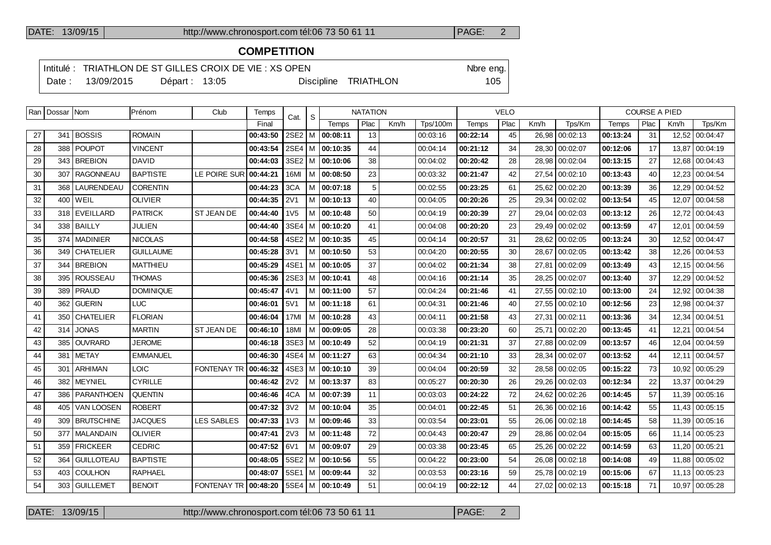### DATE: 13/09/15 http://www.chronosport.com tél:06 73 50 61 11 PAGE: 2

# **COMPETITION**

Intitulé : TRIATHLON DE ST GILLES CROIX DE VIE : XS OPEN Note eng. Date : 13/09/2015 Départ : 13:05 Discipline TRIATHLON 105

| ×<br>۰.<br>×<br>۰. |  |
|--------------------|--|
|                    |  |
|                    |  |

|    | Ran   Dossar   Nom |                   | Prénom           | Club                                 | Temps    | Cat.             | <sub>S</sub> |                     | <b>NATATION</b>                 |  |          | <b>VELO</b>  |      |      |                | <b>COURSE A PIED</b> |      |       |                |  |
|----|--------------------|-------------------|------------------|--------------------------------------|----------|------------------|--------------|---------------------|---------------------------------|--|----------|--------------|------|------|----------------|----------------------|------|-------|----------------|--|
|    |                    |                   |                  |                                      | Final    |                  |              | Temps               | Plac<br>Km/h<br><b>Tps/100m</b> |  |          | <b>Temps</b> | Plac | Km/h | Tps/Km         | Temps                | Plac | Km/h  | Tps/Km         |  |
| 27 | 341                | <b>BOSSIS</b>     | <b>ROMAIN</b>    |                                      | 00:43:50 | $2SE2$ M         |              | 00:08:11            | 13                              |  | 00:03:16 | 00:22:14     | 45   |      | 26,98 00:02:13 | 00:13:24             | 31   |       | 12,52 00:04:47 |  |
| 28 |                    | 388 POUPOT        | <b>VINCENT</b>   |                                      | 00:43:54 | $2SE4$ M         |              | 00:10:35            | 44                              |  | 00:04:14 | 00:21:12     | 34   |      | 28,30 00:02:07 | 00:12:06             | 17   | 13,87 | 00:04:19       |  |
| 29 |                    | 343 BREBION       | <b>DAVID</b>     |                                      | 00:44:03 | $3SE2$ M         |              | 00:10:06            | 38                              |  | 00:04:02 | 00:20:42     | 28   |      | 28,98 00:02:04 | 00:13:15             | 27   | 12,68 | 00:04:43       |  |
| 30 | 307                | <b>RAGONNEAU</b>  | <b>BAPTISTE</b>  | LE POIRE SUR                         | 00:44:21 | <b>16MI</b>      | l M          | 00:08:50            | 23                              |  | 00:03:32 | 00:21:47     | 42   |      | 27,54 00:02:10 | 00:13:43             | 40   | 12,23 | 00:04:54       |  |
| 31 |                    | 368   LAURENDEAU  | <b>CORENTIN</b>  |                                      | 00:44:23 | 3CA              | l M          | 00:07:18            | 5                               |  | 00:02:55 | 00:23:25     | 61   |      | 25,62 00:02:20 | 00:13:39             | 36   | 12,29 | 00:04:52       |  |
| 32 |                    | 400 WEIL          | <b>OLIVIER</b>   |                                      | 00:44:35 | <b>2V1</b>       | M            | 00:10:13            | 40                              |  | 00:04:05 | 00:20:26     | 25   |      | 29,34 00:02:02 | 00:13:54             | 45   | 12,07 | 00:04:58       |  |
| 33 |                    | 318 EVEILLARD     | <b>PATRICK</b>   | ST JEAN DE                           | 00:44:40 | 1V <sub>5</sub>  | M            | 00:10:48            | 50                              |  | 00:04:19 | 00:20:39     | 27   |      | 29,04 00:02:03 | 00:13:12             | 26   |       | 12,72 00:04:43 |  |
| 34 |                    | 338 BAILLY        | JULIEN           |                                      | 00:44:40 | $3SE4$ M         |              | 00:10:20            | 41                              |  | 00:04:08 | 00:20:20     | 23   |      | 29,49 00:02:02 | 00:13:59             | 47   | 12,01 | 00:04:59       |  |
| 35 |                    | 374   MADINIER    | <b>NICOLAS</b>   |                                      | 00:44:58 |                  |              | 4SE2   M   00:10:35 | 45                              |  | 00:04:14 | 00:20:57     | 31   |      | 28,62 00:02:05 | 00:13:24             | 30   | 12,52 | 00:04:47       |  |
| 36 |                    | 349   CHATELIER   | <b>GUILLAUME</b> |                                      | 00:45:28 | 3V1              | M            | 00:10:50            | 53                              |  | 00:04:20 | 00:20:55     | 30   |      | 28,67 00:02:05 | 00:13:42             | 38   | 12,26 | 00:04:53       |  |
| 37 | 344                | <b>BREBION</b>    | <b>MATTHIEU</b>  |                                      | 00:45:29 | $4SE1$ M         |              | 00:10:05            | 37                              |  | 00:04:02 | 00:21:34     | 38   |      | 27,81 00:02:09 | 00:13:49             | 43   |       | 12.15 00:04:56 |  |
| 38 |                    | 395   ROUSSEAU    | <b>THOMAS</b>    |                                      | 00:45:36 | $2SE3$ M         |              | 00:10:41            | 48                              |  | 00:04:16 | 00:21:14     | 35   |      | 28,25 00:02:07 | 00:13:40             | 37   | 12,29 | 00:04:52       |  |
| 39 |                    | 389   PRAUD       | <b>DOMINIQUE</b> |                                      | 00:45:47 | 4V1              | l M          | 00:11:00            | 57                              |  | 00:04:24 | 00:21:46     | 41   |      | 27,55 00:02:10 | 00:13:00             | 24   | 12.92 | 00:04:38       |  |
| 40 |                    | 362 GUERIN        | <b>LUC</b>       |                                      | 00:46:01 | 5V1              | М            | 00:11:18            | 61                              |  | 00:04:31 | 00:21:46     | 40   |      | 27,55 00:02:10 | 00:12:56             | 23   | 12,98 | 00:04:37       |  |
| 41 |                    | 350 CHATELIER     | <b>FLORIAN</b>   |                                      | 00:46:04 | 17MI             | l M          | 00:10:28            | 43                              |  | 00:04:11 | 00:21:58     | 43   |      | 27.31 00:02:11 | 00:13:36             | 34   | 12.34 | 00:04:51       |  |
| 42 | 314                | <b>JONAS</b>      | <b>MARTIN</b>    | ST JEAN DE                           | 00:46:10 | 18MI             | M            | 00:09:05            | 28                              |  | 00:03:38 | 00:23:20     | 60   |      | 25,71 00:02:20 | 00:13:45             | 41   | 12,21 | 00:04:54       |  |
| 43 |                    | 385 OUVRARD       | <b>JEROME</b>    |                                      | 00:46:18 |                  |              | 3SE3   M   00:10:49 | 52                              |  | 00:04:19 | 00:21:31     | 37   |      | 27,88 00:02:09 | 00:13:57             | 46   | 12,04 | 00:04:59       |  |
| 44 | 381                | <b>METAY</b>      | <b>EMMANUEL</b>  |                                      | 00:46:30 | 4SE4 M           |              | 00:11:27            | 63                              |  | 00:04:34 | 00:21:10     | 33   |      | 28.34 00:02:07 | 00:13:52             | 44   | 12.11 | 00:04:57       |  |
| 45 | 301                | <b>ARHIMAN</b>    | LOIC <sub></sub> | <b>FONTENAY TR</b>                   | 00:46:32 |                  |              | 4SE3   M   00:10:10 | 39                              |  | 00:04:04 | 00:20:59     | 32   |      | 28,58 00:02:05 | 00:15:22             | 73   | 10.92 | 00:05:29       |  |
| 46 | 382                | MEYNIEL           | <b>CYRILLE</b>   |                                      | 00:46:42 | 2V <sub>2</sub>  | M            | 00:13:37            | 83                              |  | 00:05:27 | 00:20:30     | 26   |      | 29.26 00:02:03 | 00:12:34             | 22   |       | 13.37 00:04:29 |  |
| 47 | 386                | PARANTHOEN        | <b>QUENTIN</b>   |                                      | 00:46:46 | 4CA              |              | M 00:07:39          | 11                              |  | 00:03:03 | 00:24:22     | 72   |      | 24,62 00:02:26 | 00:14:45             | 57   | 11.39 | 00:05:16       |  |
| 48 | 405                | VAN LOOSEN        | <b>ROBERT</b>    |                                      | 00:47:32 | 3V <sub>2</sub>  |              | M 00:10:04          | 35                              |  | 00:04:01 | 00:22:45     | 51   |      | 26,36 00:02:16 | 00:14:42             | 55   | 11,43 | 00:05:15       |  |
| 49 |                    | 309 BRUTSCHINE    | <b>JACQUES</b>   | <b>LES SABLES</b>                    | 00:47:33 | 1 <sub>V</sub> 3 |              | M 00:09:46          | 33                              |  | 00:03:54 | 00:23:01     | 55   |      | 26,06 00:02:18 | 00:14:45             | 58   |       | 11,39 00:05:16 |  |
| 50 | 377                | <b>MALANDAIN</b>  | <b>OLIVIER</b>   |                                      | 00:47:41 | 2V3              |              | M 00:11:48          | 72                              |  | 00:04:43 | 00:20:47     | 29   |      | 28,86 00:02:04 | 00:15:05             | 66   |       | 11,14 00:05:23 |  |
| 51 |                    | 359   FRICKEER    | <b>CEDRIC</b>    |                                      | 00:47:52 | 6V1              | м            | 00:09:07            | 29                              |  | 00:03:38 | 00:23:45     | 65   |      | 25,26 00:02:22 | 00:14:59             | 63   | 11.20 | 00:05:21       |  |
| 52 | 364                | <b>GUILLOTEAU</b> | <b>BAPTISTE</b>  |                                      | 00:48:05 | $5SE2$ M         |              | 00:10:56            | 55                              |  | 00:04:22 | 00:23:00     | 54   |      | 26,08 00:02:18 | 00:14:08             | 49   |       | 11,88 00:05:02 |  |
| 53 |                    | 403 COULHON       | <b>RAPHAEL</b>   |                                      | 00:48:07 | $5SE1$ M         |              | 00:09:44            | 32                              |  | 00:03:53 | 00:23:16     | 59   |      | 25,78 00:02:19 | 00:15:06             | 67   |       | 11,13 00:05:23 |  |
| 54 |                    | 303 GUILLEMET     | <b>BENOIT</b>    | FONTENAY TR 00:48:20 5SE4 M 00:10:49 |          |                  |              |                     | 51                              |  | 00:04:19 | 00:22:12     | 44   |      | 27,02 00:02:13 | 00:15:18             | 71   |       | 10,97 00:05:28 |  |

DATE: 13/09/15 http://www.chronosport.com tél:06 73 50 61 11 PAGE: 2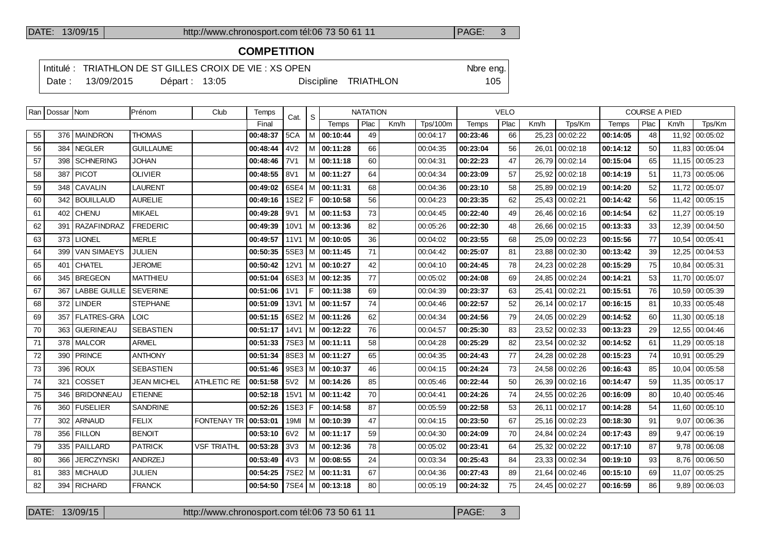#### DATE: 13/09/15 http://www.chronosport.com tél:06 73 50 61 11 PAGE: 3

## **COMPETITION**

Intitulé : TRIATHLON DE ST GILLES CROIX DE VIE : XS OPEN Nore eng. Date : 13/09/2015 Départ : 13:05 Discipline TRIATHLON 105

| Ran | Dossar Nom |                    | Prénom             | Club               | Temps    | Cat.             | S   |          | <b>NATATION</b> |      |                 |          | <b>VELO</b> |         |                | <b>COURSE A PIED</b> |      |       |                |
|-----|------------|--------------------|--------------------|--------------------|----------|------------------|-----|----------|-----------------|------|-----------------|----------|-------------|---------|----------------|----------------------|------|-------|----------------|
|     |            |                    |                    |                    | Final    |                  |     | Temps    | Plac            | Km/h | <b>Tps/100m</b> | Temps    | Plac        | Km/h    | Tps/Km         | Temps                | Plac | Km/h  | Tps/Km         |
| 55  |            | 376   MAINDRON     | <b>THOMAS</b>      |                    | 00:48:37 | 5CA              | M   | 00:10:44 | 49              |      | 00:04:17        | 00:23:46 | 66          | 25,23   | 00:02:22       | 00:14:05             | 48   |       | 11,92 00:05:02 |
| 56  | 384        | <b>NEGLER</b>      | <b>GUILLAUME</b>   |                    | 00:48:44 | 4V <sub>2</sub>  | м   | 00:11:28 | 66              |      | 00:04:35        | 00:23:04 | 56          | 26,01   | 00:02:18       | 00:14:12             | 50   |       | 11,83 00:05:04 |
| 57  | 398        | <b>SCHNERING</b>   | JOHAN              |                    | 00:48:46 | <b>7V1</b>       | M   | 00:11:18 | 60              |      | 00:04:31        | 00:22:23 | 47          |         | 26.79 00:02:14 | 00:15:04             | 65   |       | 11,15 00:05:23 |
| 58  | 387        | <b>PICOT</b>       | <b>OLIVIER</b>     |                    | 00:48:55 | 8V1              | M   | 00:11:27 | 64              |      | 00:04:34        | 00:23:09 | 57          | 25.92 l | 00:02:18       | 00:14:19             | 51   |       | 11,73 00:05:06 |
| 59  | 348        | <b>CAVALIN</b>     | <b>LAURENT</b>     |                    | 00:49:02 | $6SE4$ M         |     | 00:11:31 | 68              |      | 00:04:36        | 00:23:10 | 58          | 25.89   | 00:02:19       | 00:14:20             | 52   |       | 11,72 00:05:07 |
| 60  | 342        | <b>BOUILLAUD</b>   | <b>AURELIE</b>     |                    | 00:49:16 | 1SE2 F           |     | 00:10:58 | 56              |      | 00:04:23        | 00:23:35 | 62          |         | 25,43 00:02:21 | 00:14:42             | 56   |       | 11,42 00:05:15 |
| 61  | 402        | <b>CHENU</b>       | <b>MIKAEL</b>      |                    | 00:49:28 | 9V1              | M   | 00:11:53 | 73              |      | 00:04:45        | 00:22:40 | 49          |         | 26.46 00:02:16 | 00:14:54             | 62   |       | 11.27 00:05:19 |
| 62  | 391        | <b>RAZAFINDRAZ</b> | <b>FREDERIC</b>    |                    | 00:49:39 | 10V1             | l M | 00:13:36 | 82              |      | 00:05:26        | 00:22:30 | 48          |         | 26,66 00:02:15 | 00:13:33             | 33   |       | 12,39 00:04:50 |
| 63  | 373        | <b>LIONEL</b>      | <b>MERLE</b>       |                    | 00:49:57 | <b>11V1</b>      | IM. | 00:10:05 | 36              |      | 00:04:02        | 00:23:55 | 68          | 25,09   | 00:02:23       | 00:15:56             | 77   |       | 10,54 00:05:41 |
| 64  | 399        | <b>VAN SIMAEYS</b> | JULIEN             |                    | 00:50:35 | $5SE3$ M         |     | 00:11:45 | 71              |      | 00:04:42        | 00:25:07 | 81          |         | 23.88 00:02:30 | 00:13:42             | 39   |       | 12.25 00:04:53 |
| 65  | 401        | <b>CHATEL</b>      | <b>JEROME</b>      |                    | 00:50:42 | <b>12V1</b>      | l M | 00:10:27 | 42              |      | 00:04:10        | 00:24:45 | 78          | 24,23   | 00:02:28       | 00:15:29             | 75   |       | 10.84 00:05:31 |
| 66  | 345        | <b>BREGEON</b>     | <b>MATTHIEU</b>    |                    | 00:51:04 | $6SE3$ M         |     | 00:12:35 | 77              |      | 00:05:02        | 00:24:08 | 69          | 24.85   | 00:02:24       | 00:14:21             | 53   |       | 11,70 00:05:07 |
| 67  | 367        | LABBE GUILLE       | <b>SEVERINE</b>    |                    | 00:51:06 | 1 <sub>V</sub> 1 | IF. | 00:11:38 | 69              |      | 00:04:39        | 00:23:37 | 63          |         | 25,41 00:02:21 | 00:15:51             | 76   |       | 10,59 00:05:39 |
| 68  | 372        | <b>LINDER</b>      | <b>STEPHANE</b>    |                    | 00:51:09 | <b>13V1</b>      | Iм  | 00:11:57 | 74              |      | 00:04:46        | 00:22:57 | 52          |         | 26,14 00:02:17 | 00:16:15             | 81   |       | 10,33 00:05:48 |
| 69  | 357        | <b>FLATRES-GRA</b> | LOIC               |                    | 00:51:15 | $6SE2$ M         |     | 00:11:26 | 62              |      | 00:04:34        | 00:24:56 | 79          | 24,05   | 00:02:29       | 00:14:52             | 60   |       | 11,30 00:05:18 |
| 70  | 363        | <b>GUERINEAU</b>   | <b>SEBASTIEN</b>   |                    | 00:51:17 | 14V1             | l M | 00:12:22 | 76              |      | 00:04:57        | 00:25:30 | 83          | 23,52   | 00:02:33       | 00:13:23             | 29   |       | 12,55 00:04:46 |
| 71  |            | 378   MALCOR       | <b>ARMEL</b>       |                    | 00:51:33 | $7SE3$ M         |     | 00:11:11 | 58              |      | 00:04:28        | 00:25:29 | 82          | 23.54   | 00:02:32       | 00:14:52             | 61   |       | 11.29 00:05:18 |
| 72  | 390        | <b>PRINCE</b>      | <b>ANTHONY</b>     |                    | 00:51:34 | $8SE3$ M         |     | 00:11:27 | 65              |      | 00:04:35        | 00:24:43 | 77          | 24,28   | 00:02:28       | 00:15:23             | 74   | 10,91 | 00:05:29       |
| 73  | 396        | <b>ROUX</b>        | <b>SEBASTIEN</b>   |                    | 00:51:46 | $9SE3$ M         |     | 00:10:37 | 46              |      | 00:04:15        | 00:24:24 | 73          | 24,58   | 00:02:26       | 00:16:43             | 85   |       | 10,04 00:05:58 |
| 74  | 321        | <b>COSSET</b>      | <b>JEAN MICHEL</b> | ATHLETIC RE        | 00:51:58 | 5V <sub>2</sub>  | M   | 00:14:26 | 85              |      | 00:05:46        | 00:22:44 | 50          |         | 26,39 00:02:16 | 00:14:47             | 59   |       | 11,35 00:05:17 |
| 75  | 346        | <b>BRIDONNEAU</b>  | <b>ETIENNE</b>     |                    | 00:52:18 | 15V1             | l M | 00:11:42 | 70              |      | 00:04:41        | 00:24:26 | 74          |         | 24,55 00:02:26 | 00:16:09             | 80   |       | 10,40 00:05:46 |
| 76  | 360        | <b>FUSELIER</b>    | <b>SANDRINE</b>    |                    | 00:52:26 | 1SE3             | F   | 00:14:58 | 87              |      | 00:05:59        | 00:22:58 | 53          | 26.11   | 00:02:17       | 00:14:28             | 54   |       | 11,60 00:05:10 |
| 77  | 302        | <b>ARNAUD</b>      | <b>FELIX</b>       | <b>FONTENAY TR</b> | 00:53:01 | 19MI             |     | 00:10:39 | 47              |      | 00:04:15        | 00:23:50 | 67          | 25,16   | 00:02:23       | 00:18:30             | 91   | 9.07  | 00:06:36       |
|     |            |                    |                    |                    |          |                  |     |          |                 |      |                 |          |             |         |                |                      |      |       |                |

 356 FILLON BENOIT **00:53:10** 6V2 M **00:11:17** 59 00:04:30 **00:24:09** 70 24,84 00:02:24 **00:17:43** 89 9,47 00:06:19 335 PAILLARD PATRICK VSF TRIATHL **00:53:28** 3V3 M **00:12:36** 78 00:05:02 **00:23:41** 64 25,32 00:02:22 **00:17:10** 87 9,78 00:06:08 366 JERCZYNSKI ANDRZEJ **00:53:49** 4V3 M **00:08:55** 24 00:03:34 **00:25:43** 84 23,33 00:02:34 **00:19:10** 93 8,76 00:06:50 383 MICHAUD JULIEN **00:54:25** 7SE2 M **00:11:31** 67 00:04:36 **00:27:43** 89 21,64 00:02:46 **00:15:10** 69 11,07 00:05:25 394 RICHARD FRANCK **00:54:50** 7SE4 M **00:13:18** 80 00:05:19 **00:24:32** 75 24,45 00:02:27 **00:16:59** 86 9,89 00:06:03

DATE: 13/09/15 http://www.chronosport.com tél:06 73 50 61 11 PAGE: 3